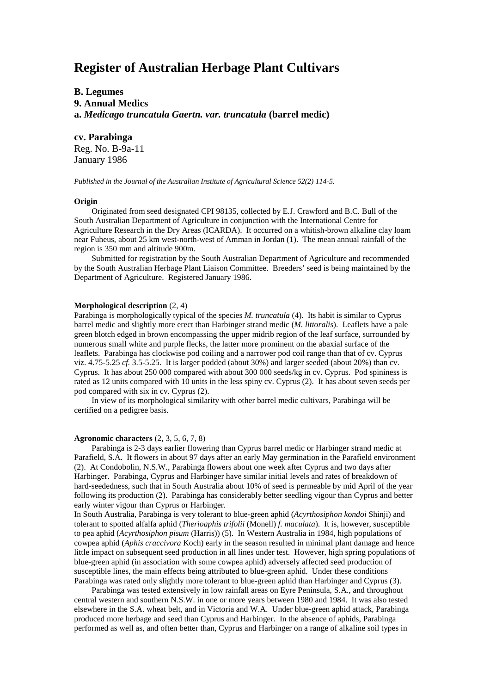# **Register of Australian Herbage Plant Cultivars**

# **B. Legumes 9. Annual Medics a.** *Medicago truncatula Gaertn. var. truncatula* **(barrel medic)**

# **cv. Parabinga**

Reg. No. B-9a-11 January 1986

*Published in the Journal of the Australian Institute of Agricultural Science 52(2) 114-5.*

#### **Origin**

Originated from seed designated CPI 98135, collected by E.J. Crawford and B.C. Bull of the South Australian Department of Agriculture in conjunction with the International Centre for Agriculture Research in the Dry Areas (ICARDA). It occurred on a whitish-brown alkaline clay loam near Fuheus, about 25 km west-north-west of Amman in Jordan (1). The mean annual rainfall of the region is 350 mm and altitude 900m.

Submitted for registration by the South Australian Department of Agriculture and recommended by the South Australian Herbage Plant Liaison Committee. Breeders' seed is being maintained by the Department of Agriculture. Registered January 1986.

# **Morphological description** (2, 4)

Parabinga is morphologically typical of the species *M. truncatula* (4). Its habit is similar to Cyprus barrel medic and slightly more erect than Harbinger strand medic (*M. littoralis*). Leaflets have a pale green blotch edged in brown encompassing the upper midrib region of the leaf surface, surrounded by numerous small white and purple flecks, the latter more prominent on the abaxial surface of the leaflets. Parabinga has clockwise pod coiling and a narrower pod coil range than that of cv. Cyprus viz. 4.75-5.25 *cf.* 3.5-5.25. It is larger podded (about 30%) and larger seeded (about 20%) than cv. Cyprus. It has about 250 000 compared with about 300 000 seeds/kg in cv. Cyprus. Pod spininess is rated as 12 units compared with 10 units in the less spiny cv. Cyprus (2). It has about seven seeds per pod compared with six in cv. Cyprus (2).

In view of its morphological similarity with other barrel medic cultivars, Parabinga will be certified on a pedigree basis.

## **Agronomic characters** (2, 3, 5, 6, 7, 8)

Parabinga is 2-3 days earlier flowering than Cyprus barrel medic or Harbinger strand medic at Parafield, S.A. It flowers in about 97 days after an early May germination in the Parafield environment (2). At Condobolin, N.S.W., Parabinga flowers about one week after Cyprus and two days after Harbinger. Parabinga, Cyprus and Harbinger have similar initial levels and rates of breakdown of hard-seededness, such that in South Australia about 10% of seed is permeable by mid April of the year following its production (2). Parabinga has considerably better seedling vigour than Cyprus and better early winter vigour than Cyprus or Harbinger.

In South Australia, Parabinga is very tolerant to blue-green aphid (*Acyrthosiphon kondoi* Shinji) and tolerant to spotted alfalfa aphid (*Therioaphis trifolii* (Monell) *f. maculata*). It is, however, susceptible to pea aphid (*Acyrthosiphon pisum* (Harris)) (5). In Western Australia in 1984, high populations of cowpea aphid (*Aphis craccivora* Koch) early in the season resulted in minimal plant damage and hence little impact on subsequent seed production in all lines under test. However, high spring populations of blue-green aphid (in association with some cowpea aphid) adversely affected seed production of susceptible lines, the main effects being attributed to blue-green aphid. Under these conditions Parabinga was rated only slightly more tolerant to blue-green aphid than Harbinger and Cyprus (3).

Parabinga was tested extensively in low rainfall areas on Eyre Peninsula, S.A., and throughout central western and southern N.S.W. in one or more years between 1980 and 1984. It was also tested elsewhere in the S.A. wheat belt, and in Victoria and W.A. Under blue-green aphid attack, Parabinga produced more herbage and seed than Cyprus and Harbinger. In the absence of aphids, Parabinga performed as well as, and often better than, Cyprus and Harbinger on a range of alkaline soil types in